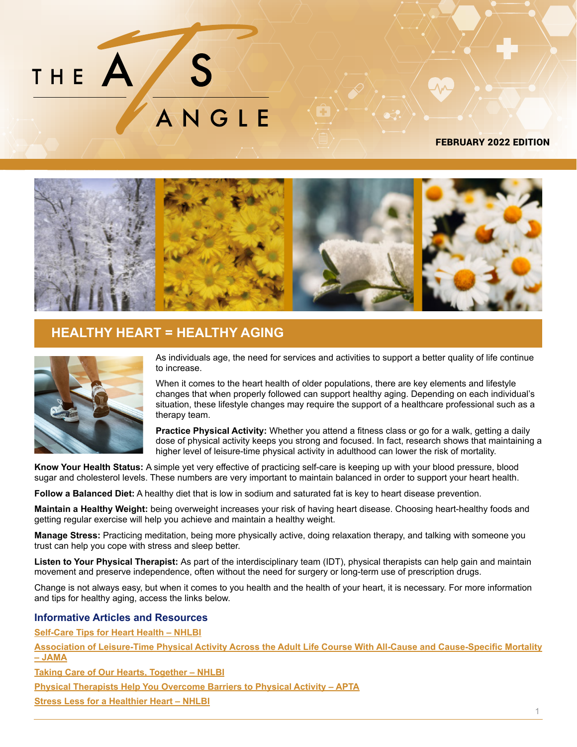

#### [FEBRUARY 2022 EDITION](https://ats-therapy.com/)



## **HEALTHY HEART = HEALTHY AGING**



As individuals age, the need for services and activities to support a better quality of life continue to increase.

When it comes to the heart health of older populations, there are key elements and lifestyle changes that when properly followed can support healthy aging. Depending on each individual's situation, these lifestyle changes may require the support of a healthcare professional such as a therapy team.

**Practice Physical Activity:** Whether you attend a fitness class or go for a walk, getting a daily dose of physical activity keeps you strong and focused. In fact, research shows that maintaining a higher level of leisure-time physical activity in adulthood can lower the risk of mortality.

**Know Your Health Status:** A simple yet very effective of practicing self-care is keeping up with your blood pressure, blood sugar and cholesterol levels. These numbers are very important to maintain balanced in order to support your heart health.

**Follow a Balanced Diet:** A healthy diet that is low in sodium and saturated fat is key to heart disease prevention.

**Maintain a Healthy Weight:** being overweight increases your risk of having heart disease. Choosing heart-healthy foods and getting regular exercise will help you achieve and maintain a healthy weight.

**Manage Stress:** Practicing meditation, being more physically active, doing relaxation therapy, and talking with someone you trust can help you cope with stress and sleep better.

**Listen to Your Physical Therapist:** As part of the interdisciplinary team (IDT), physical therapists can help gain and maintain movement and preserve independence, often without the need for surgery or long-term use of prescription drugs.

Change is not always easy, but when it comes to you health and the health of your heart, it is necessary. For more information and tips for healthy aging, access the links below.

#### **Informative Articles and Resources**

**[Self-Care Tips for Heart Health – NHLBI](https://www.nhlbi.nih.gov/health-topics/all-publications-and-resources/self-care-tips-heart-health)**

**[Association of Leisure-Time Physical Activity Across the Adult Life Course With All-Cause and Cause-Specific Mortality](https://pubmed.ncbi.nlm.nih.gov/30848809/)  [– JAMA](https://pubmed.ncbi.nlm.nih.gov/30848809/)**

**[Taking Care of Our Hearts, Together – NHLBI](https://www.nhlbi.nih.gov/health-topics/all-publications-and-resources/taking-care-hearts-together)**

**[Physical Therapists Help You Overcome Barriers to Physical Activity – APTA](https://www.choosept.com/health-tips/physical-therapists-help-overcome-barriers-physical-activity)**

**[Stress Less for a Healthier Heart – NHLBI](https://www.nhlbi.nih.gov/health-topics/all-publications-and-resources/stress-less-healthier-heart)**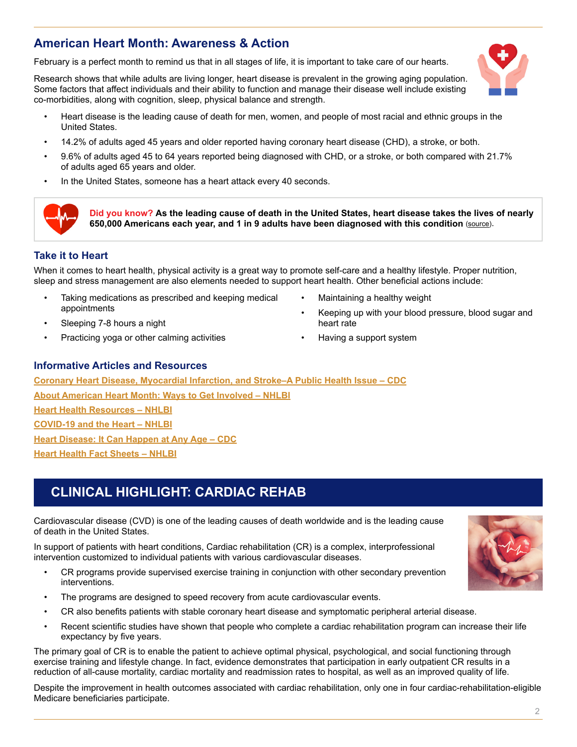## **American Heart Month: Awareness & Action**

February is a perfect month to remind us that in all stages of life, it is important to take care of our hearts.

Research shows that while adults are living longer, heart disease is prevalent in the growing aging population. Some factors that affect individuals and their ability to function and manage their disease well include existing co-morbidities, along with cognition, sleep, physical balance and strength.

- Heart disease is the leading cause of death for men, women, and people of most racial and ethnic groups in the United States.
- 14.2% of adults aged 45 years and older reported having coronary heart disease (CHD), a stroke, or both.
- 9.6% of adults aged 45 to 64 years reported being diagnosed with CHD, or a stroke, or both compared with 21.7% of adults aged 65 years and older.
- In the United States, someone has a heart attack every 40 seconds.



**[D](https://www.nhlbi.nih.gov/health-topics/education-and-awareness/heart-month/fact-sheets)id you know? As the leading cause of death in the United States, heart disease takes the lives of nearly 650,000 Americans each year, and 1 in 9 adults have been diagnosed with this condition** ([source](https://www.nhlbi.nih.gov/health-topics/all-publications-and-resources/know-differences-cardiovascular-disease-heart-disease-coronary-heart-disease)).

#### **Take it to Heart**

When it comes to heart health, physical activity is a great way to promote self-care and a healthy lifestyle. Proper nutrition, sleep and stress management are also elements needed to support heart health. Other beneficial actions include:

- Taking medications as prescribed and keeping medical appointments
- Sleeping 7-8 hours a night
- Practicing yoga or other calming activities
- Maintaining a healthy weight
- Keeping up with your blood pressure, blood sugar and heart rate
- Having a support system

### **Informative Articles and Resources**

**[Coronary Heart Disease, Myocardial Infarction, and Stroke–A Public Health Issue – CDC](https://www.cdc.gov/aging/agingdata/docs/Coronary-Stroke-Brief-508.pdf) [About American Heart Month: Ways to Get Involved – NHLBI](https://www.nhlbi.nih.gov/education/american-heart-month/about) [Heart Health Resources – NHLBI](https://www.nhlbi.nih.gov/education/heart-truth/lets-work-together-prevent-heart-disease) [COVID-19 and the Heart – NHLBI](https://www.nhlbi.nih.gov/coronavirus/heart) [Heart Disease: It Can Happen at Any Age – CDC](https://www.cdc.gov/heartdisease/any_age.htm) [Heart Health Fact Sheets – NHLBI](https://www.nhlbi.nih.gov/health-topics/education-and-awareness/heart-month/fact-sheets)**

# **CLINICAL HIGHLIGHT: CARDIAC REHAB**

Cardiovascular disease (CVD) is one of the leading causes of death worldwide and is the leading cause of death in the United States.

In support of patients with heart conditions, Cardiac rehabilitation (CR) is a complex, interprofessional intervention customized to individual patients with various cardiovascular diseases.

- CR programs provide supervised exercise training in conjunction with other secondary prevention interventions.
- The programs are designed to speed recovery from acute cardiovascular events.
- CR also benefits patients with stable coronary heart disease and symptomatic peripheral arterial disease.
- Recent scientific studies have shown that people who complete a cardiac rehabilitation program can increase their life expectancy by five years.

The primary goal of CR is to enable the patient to achieve optimal physical, psychological, and social functioning through exercise training and lifestyle change. In fact, evidence demonstrates that participation in early outpatient CR results in a reduction of all-cause mortality, cardiac mortality and readmission rates to hospital, as well as an improved quality of life.

Despite the improvement in health outcomes associated with cardiac rehabilitation, only one in four cardiac-rehabilitation-eligible Medicare beneficiaries participate.



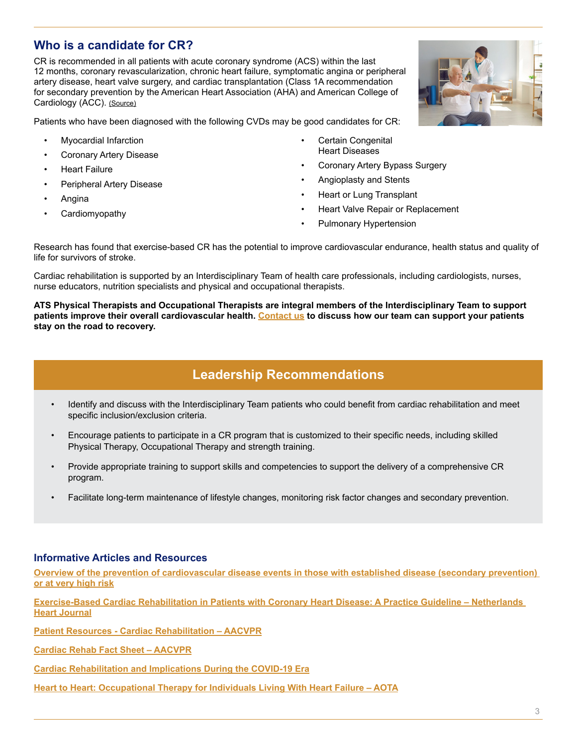## **Who is a candidate for CR?**

CR is recommended in all patients with acute coronary syndrome (ACS) within the last 12 months, coronary revascularization, chronic heart failure, symptomatic angina or peripheral artery disease, heart valve surgery, and cardiac transplantation (Class 1A recommendation for secondary prevention by the American Heart Association (AHA) and American College of Cardiology (ACC). [\(Source\)](https://www.acc.org/latest-in-cardiology/articles/2021/01/04/14/03/cardiac-rehabilitation-and-implications-during-the-covid-19-era)

Patients who have been diagnosed with the following CVDs may be good candidates for CR:

- Myocardial Infarction
- Coronary Artery Disease
- Heart Failure
- Peripheral Artery Disease
- Angina
- Cardiomyopathy
- **Certain Congenital** Heart Diseases
- Coronary Artery Bypass Surgery
- Angioplasty and Stents
- Heart or Lung Transplant
- Heart Valve Repair or Replacement
- Pulmonary Hypertension

Research has found that exercise-based CR has the potential to improve cardiovascular endurance, health status and quality of life for survivors of stroke.

Cardiac rehabilitation is supported by an Interdisciplinary Team of health care professionals, including cardiologists, nurses, nurse educators, nutrition specialists and physical and occupational therapists.

**ATS Physical Therapists and Occupational Therapists are integral members of the Interdisciplinary Team to support patients improve their overall cardiovascular health. [Contact us](https://ats-therapy.com/contact-us/) to discuss how our team can support your patients stay on the road to recovery.**

# **Leadership Recommendations**

- Identify and discuss with the Interdisciplinary Team patients who could benefit from cardiac rehabilitation and meet specific inclusion/exclusion criteria.
- Encourage patients to participate in a CR program that is customized to their specific needs, including skilled Physical Therapy, Occupational Therapy and strength training.
- Provide appropriate training to support skills and competencies to support the delivery of a comprehensive CR program.
- Facilitate long-term maintenance of lifestyle changes, monitoring risk factor changes and secondary prevention.

### **Informative Articles and Resources**

**[Overview of the prevention of cardiovascular disease events in those with established disease \(secondary prevention\)](https://www.uptodate.com/contents/prevention-of-cardiovascular-disease-events-in-those-with-established-disease-secondary-prevention-or-at-very-high-risk)  [or at very high risk](https://www.uptodate.com/contents/prevention-of-cardiovascular-disease-events-in-those-with-established-disease-secondary-prevention-or-at-very-high-risk)**

**[Exercise-Based Cardiac Rehabilitation in Patients with Coronary Heart Disease: A Practice Guideline – Netherlands](https://link.springer.com/article/10.1007/s12471-013-0467-y)  [Heart Journal](https://link.springer.com/article/10.1007/s12471-013-0467-y)**

**[Patient Resources - Cardiac Rehabilitation – AACVPR](https://link.springer.com/article/10.1007/s12471-013-0467-y)**

**[Cardiac Rehab Fact Sheet – AACVPR](https://www.aacvpr.org/Portals/0/Docs/Practice/AACVPR_CR_Fact_Sheet.pdf)**

**[Cardiac Rehabilitation and Implications During the COVID-19 Era](https://www.acc.org/latest-in-cardiology/articles/2021/01/04/14/03/cardiac-rehabilitation-and-implications-during-the-covid-19-era)**

**[Heart to Heart: Occupational Therapy for Individuals Living With Heart Failure – AOTA](https://www.aota.org/-/media/Corporate/Files/Publications/CE-Articles/CEA-October-2021.pdf)**